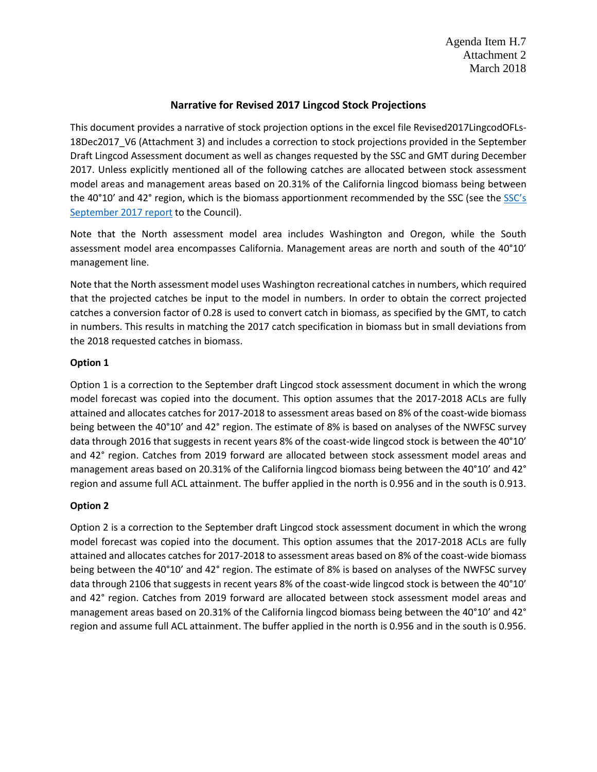Agenda Item H.7 Attachment 2 March 2018

# **Narrative for Revised 2017 Lingcod Stock Projections**

This document provides a narrative of stock projection options in the excel file Revised2017LingcodOFLs-18Dec2017 V6 (Attachment 3) and includes a correction to stock projections provided in the September Draft Lingcod Assessment document as well as changes requested by the SSC and GMT during December 2017. Unless explicitly mentioned all of the following catches are allocated between stock assessment model areas and management areas based on 20.31% of the California lingcod biomass being between the 40°10' and 42° region, which is the biomass apportionment recommended by the SSC (see the SSC's [September 2017 report](http://www.pcouncil.org/wp-content/uploads/2017/09/E9a_Sup_SSC_Rpt1_SEPT2017BB.pdf) to the Council).

Note that the North assessment model area includes Washington and Oregon, while the South assessment model area encompasses California. Management areas are north and south of the 40°10' management line.

Note that the North assessment model uses Washington recreational catches in numbers, which required that the projected catches be input to the model in numbers. In order to obtain the correct projected catches a conversion factor of 0.28 is used to convert catch in biomass, as specified by the GMT, to catch in numbers. This results in matching the 2017 catch specification in biomass but in small deviations from the 2018 requested catches in biomass.

### **Option 1**

Option 1 is a correction to the September draft Lingcod stock assessment document in which the wrong model forecast was copied into the document. This option assumes that the 2017-2018 ACLs are fully attained and allocates catches for 2017-2018 to assessment areas based on 8% of the coast-wide biomass being between the 40°10' and 42° region. The estimate of 8% is based on analyses of the NWFSC survey data through 2016 that suggests in recent years 8% of the coast-wide lingcod stock is between the 40°10' and 42° region. Catches from 2019 forward are allocated between stock assessment model areas and management areas based on 20.31% of the California lingcod biomass being between the 40°10' and 42° region and assume full ACL attainment. The buffer applied in the north is 0.956 and in the south is 0.913.

# **Option 2**

Option 2 is a correction to the September draft Lingcod stock assessment document in which the wrong model forecast was copied into the document. This option assumes that the 2017-2018 ACLs are fully attained and allocates catches for 2017-2018 to assessment areas based on 8% of the coast-wide biomass being between the 40°10' and 42° region. The estimate of 8% is based on analyses of the NWFSC survey data through 2106 that suggests in recent years 8% of the coast-wide lingcod stock is between the 40°10' and 42° region. Catches from 2019 forward are allocated between stock assessment model areas and management areas based on 20.31% of the California lingcod biomass being between the 40°10' and 42° region and assume full ACL attainment. The buffer applied in the north is 0.956 and in the south is 0.956.